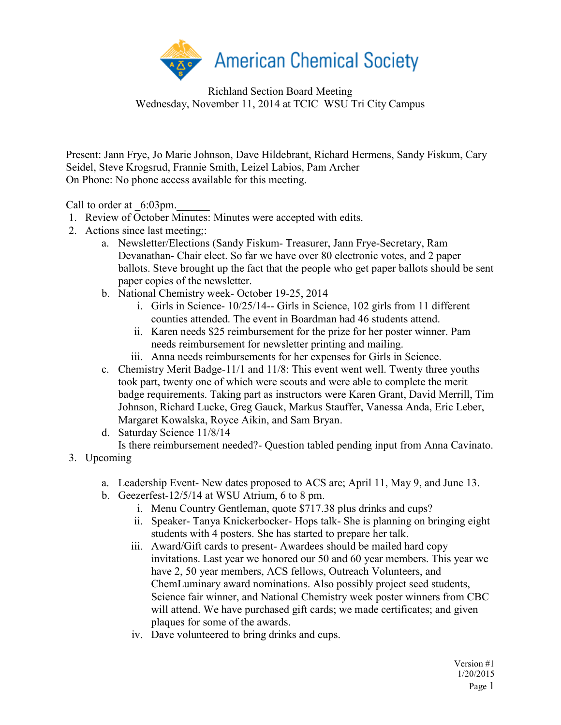

Richland Section Board Meeting Wednesday, November 11, 2014 at TCIC WSU Tri City Campus

Present: Jann Frye, Jo Marie Johnson, Dave Hildebrant, Richard Hermens, Sandy Fiskum, Cary Seidel, Steve Krogsrud, Frannie Smith, Leizel Labios, Pam Archer On Phone: No phone access available for this meeting.

Call to order at  $6:03 \text{pm}$ .

- 1. Review of October Minutes: Minutes were accepted with edits.
- 2. Actions since last meeting;:
	- a. Newsletter/Elections (Sandy Fiskum- Treasurer, Jann Frye-Secretary, Ram Devanathan- Chair elect. So far we have over 80 electronic votes, and 2 paper ballots. Steve brought up the fact that the people who get paper ballots should be sent paper copies of the newsletter.
	- b. National Chemistry week- October 19-25, 2014
		- i. Girls in Science- 10/25/14-- Girls in Science, 102 girls from 11 different counties attended. The event in Boardman had 46 students attend.
		- ii. Karen needs \$25 reimbursement for the prize for her poster winner. Pam needs reimbursement for newsletter printing and mailing.
		- iii. Anna needs reimbursements for her expenses for Girls in Science.
	- c. Chemistry Merit Badge-11/1 and 11/8: This event went well. Twenty three youths took part, twenty one of which were scouts and were able to complete the merit badge requirements. Taking part as instructors were Karen Grant, David Merrill, Tim Johnson, Richard Lucke, Greg Gauck, Markus Stauffer, Vanessa Anda, Eric Leber, Margaret Kowalska, Royce Aikin, and Sam Bryan.
	- d. Saturday Science 11/8/14

Is there reimbursement needed?- Question tabled pending input from Anna Cavinato.

- 3. Upcoming
	- a. Leadership Event- New dates proposed to ACS are; April 11, May 9, and June 13.
	- b. Geezerfest-12/5/14 at WSU Atrium, 6 to 8 pm.
		- i. Menu Country Gentleman, quote \$717.38 plus drinks and cups?
		- ii. Speaker- Tanya Knickerbocker- Hops talk- She is planning on bringing eight students with 4 posters. She has started to prepare her talk.
		- iii. Award/Gift cards to present- Awardees should be mailed hard copy invitations. Last year we honored our 50 and 60 year members. This year we have 2, 50 year members, ACS fellows, Outreach Volunteers, and ChemLuminary award nominations. Also possibly project seed students, Science fair winner, and National Chemistry week poster winners from CBC will attend. We have purchased gift cards; we made certificates; and given plaques for some of the awards.
		- iv. Dave volunteered to bring drinks and cups.